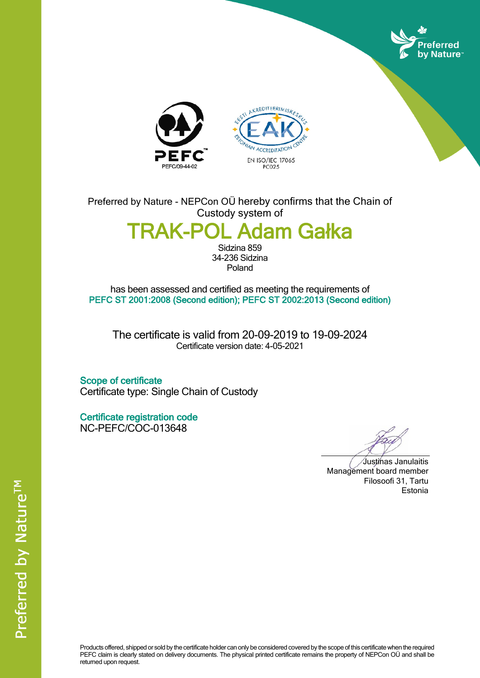





Preferred by Nature - NEPCon OÜ hereby confirms that the Chain of Custody system of

## **TRAK-POL Adam Gałka**

Sidzina 859 34-236 Sidzina Poland

has been assessed and certified as meeting the requirements of **PEFC ST 2001:2008 (Second edition); PEFC ST 2002:2013 (Second edition)**

The certificate is valid from 20-09-2019 to 19-09-2024 Certificate version date: 4-05-2021

**Scope of certificate** Certificate type: Single Chain of Custody

**Certificate registration code** NC-PEFC/COC-013648

Justinas Janulaitis Management board member Filosoofi 31, Tartu Estonia